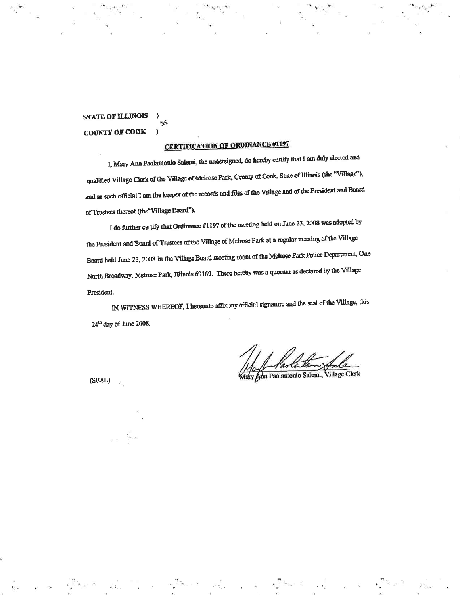**STATE OF ILLINOIS** J. SŜ **COUNTY OF COOK**  $\mathbf{a}$ 

# **CERTIFICATION OF ORDINANCE #1197**

I, Mary Ann Paolantonio Salemi, the undersigned, do hereby certify that I am duly elected and qualified Village Clerk of the Village of Melrose Park, County of Cook, State of Illinois (the "Village"), and as such official I am the keeper of the records and files of the Village and of the President and Board of Trustees thereof (the "Village Board").

I do further certify that Ordinance #1197 of the meeting held on June 23, 2008 was adopted by the President and Board of Trustees of the Village of Melrose Park at a regular meeting of the Village Board held June 23, 2008 in the Village Board meeting room of the Melrose Park Police Department, One North Broadway, Melrose Park, Illinois 60160. There hereby was a quorum as declared by the Village President.

IN WITNESS WHEREOF, I hereunto affix my official signature and the scal of the Village, this 24<sup>th</sup> day of June 2008.

dy Ann Paolantonio Salemi, Village Clerk

(SEAL)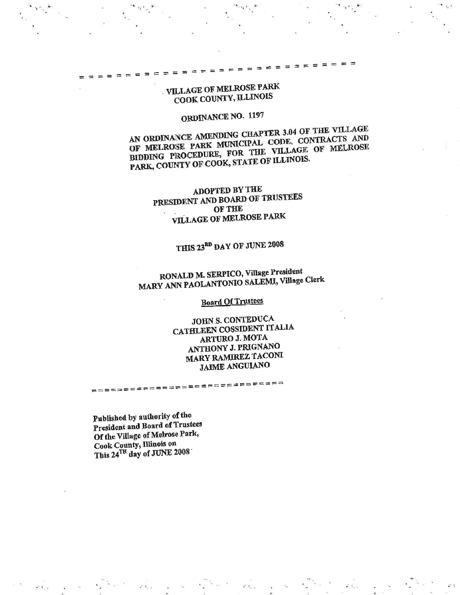## **VILLAGE OF MELROSE PARK** COOK COUNTY, ILLINOIS

# ORDINANCE NO. 1197

AN ORDINANCE AMENDING CHAPTER 3.04 OF THE VILLAGE OF MELROSE PARK MUNICIPAL CODE, CONTRACTS AND BIDDING PROCEDURE, FOR THE VILLAGE OF MELROSE PARK, COUNTY OF COOK, STATE OF ILLINOIS.

ADOPTED BY THE PRESIDENT AND BOARD OF TRUSTEES OF THE **VILLAGE OF MELROSE PARK** 

# THIS 23<sup>RD</sup> DAY OF JUNE 2008

# RONALD M. SERPICO, Village President MARY ANN PAOLANTONIO SALEMI, Village Clerk

## **Board Of Trustees**

JOHN S. CONTEDUCA CATHLEEN COSSIDENT ITALIA **ARTURO J. MOTA** ANTHONY J. PRIGNANO **MARY RAMIREZ TACONI JAIME ANGUIANO** 

클로코テニ로르르토드로토르토드로프르토드

Published by authority of the President and Board of Trustees Of the Village of Melrose Park, Cook County, Illinois on This 24TH day of JUNE 2008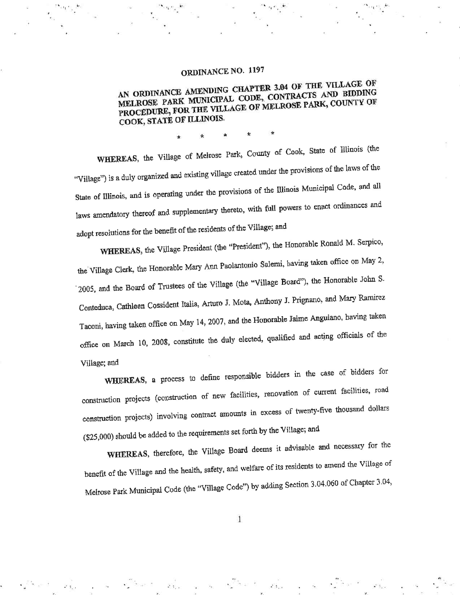# ORDINANCE NO. 1197

## AN ORDINANCE AMENDING CHAPTER 3.04 OF THE VILLAGE OF MELROSE PARK MUNICIPAL CODE, CONTRACTS AND BIDDING PROCEDURE, FOR THE VILLAGE OF MELROSE PARK, COUNTY OF COOK, STATE OF ILLINOIS.

WHEREAS, the Village of Melrose Park, County of Cook, State of Illinois (the "Village") is a duly organized and existing village created under the provisions of the laws of the State of Illinois, and is operating under the provisions of the Illinois Municipal Code, and all laws amendatory thereof and supplementary thereto, with full powers to enact ordinances and adopt resolutions for the benefit of the residents of the Village; and

WHEREAS, the Village President (the "President"), the Honorable Ronald M. Serpico, the Village Clerk, the Honorable Mary Ann Paolantonio Salemi, having taken office on May 2, 2005, and the Board of Trustees of the Village (the "Village Board"), the Honorable John S. Conteduca, Cathleen Cossident Italia, Arturo J. Mota, Anthony J. Prignano, and Mary Ramirez Taconi, having taken office on May 14, 2007, and the Honorable Jaime Anguiano, having taken office on March 10, 2008, constitute the duly elected, qualified and acting officials of the Village; and

WHEREAS, a process to define responsible bidders in the case of bidders for construction projects (construction of new facilities, renovation of current facilities, road construction projects) involving contract amounts in excess of twenty-five thousand dollars (\$25,000) should be added to the requirements set forth by the Village; and

WHEREAS, therefore, the Village Board deems it advisable and necessary for the benefit of the Village and the health, safety, and welfare of its residents to amend the Village of Melrose Park Municipal Code (the "Village Code") by adding Section 3.04.060 of Chapter 3.04,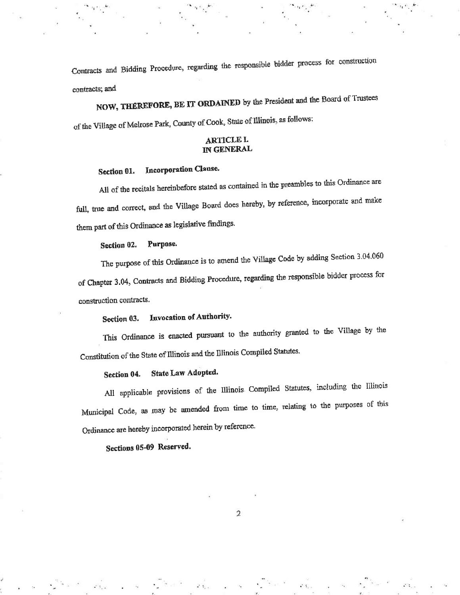Contracts and Bidding Procedure, regarding the responsible bidder process for construction contracts; and

NOW, THEREFORE, BE IT ORDAINED by the President and the Board of Trustees of the Village of Melrose Park, County of Cook, State of Illinois, as follows:

### **ARTICLE L** IN GENERAL

#### Incorporation Clause. Section 01.

All of the recitals hereinbefore stated as contained in the preambles to this Ordinance are full, true and correct, and the Village Board does hereby, by reference, incorporate and make them part of this Ordinance as legislative findings.

#### Purpose. Section 02.

The purpose of this Ordinance is to amend the Village Code by adding Section 3.04.060 of Chapter 3.04, Contracts and Bidding Procedure, regarding the responsible bidder process for construction contracts.

#### Invocation of Authority. Section 03.

This Ordinance is enacted pursuant to the authority granted to the Village by the Constitution of the State of Illinois and the Illinois Compiled Statutes.

#### State Law Adopted. Section 04.

All applicable provisions of the Illinois Compiled Statutes, including the Illinois Municipal Code, as may be amended from time to time, relating to the purposes of this Ordinance are hereby incorporated herein by reference.

## Sections 05-09 Reserved.

 $\overline{2}$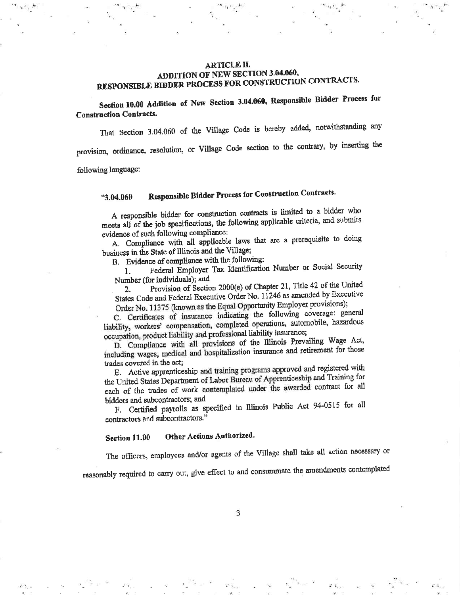### ARTICLE II. ADDITION OF NEW SECTION 3.04.060, RESPONSIBLE BIDDER PROCESS FOR CONSTRUCTION CONTRACTS.

Section 10.00 Addition of New Section 3.04.060, Responsible Bidder Process for **Construction Contracts.** 

That Section 3.04.060 of the Village Code is hereby added, notwithstanding any

provision, ordinance, resolution, or Village Code section to the contrary, by inserting the

following language:

#### Responsible Bidder Process for Construction Contracts. "3.04.060

A responsible bidder for construction contracts is limited to a bidder who meets all of the job specifications, the following applicable criteria, and submits evidence of such following compliance:

A. Compliance with all applicable laws that are a prerequisite to doing business in the State of Illinois and the Village;

B. Evidence of compliance with the following:

Federal Employer Tax Identification Number or Social Security  $\mathbf{1}$ . Number (for individuals); and

Provision of Section 2000(e) of Chapter 21, Title 42 of the United  $2.$ States Code and Federal Executive Order No. 11246 as amended by Executive Order No. 11375 (known as the Equal Opportunity Employer provisions);

C. Certificates of insurance indicating the following coverage: general liability, workers' compensation, completed operations, automobile, hazardous occupation, product liability and professional liability insurance;

D. Compliance with all provisions of the Illinois Prevailing Wage Act, including wages, medical and hospitalization insurance and retirement for those trades covered in the act;

E. Active apprenticeship and training programs approved and registered with the United States Department of Labor Bureau of Apprenticeship and Training for each of the trades of work contemplated under the awarded contract for all bidders and subcontractors; and

F. Certified payrolls as specified in Illinois Public Act 94-0515 for all contractors and subcontractors."

Other Actions Authorized. Section 11.00

The officers, employees and/or agents of the Village shall take all action necessary or

reasonably required to carry out, give effect to and consummate the amendments contemplated

3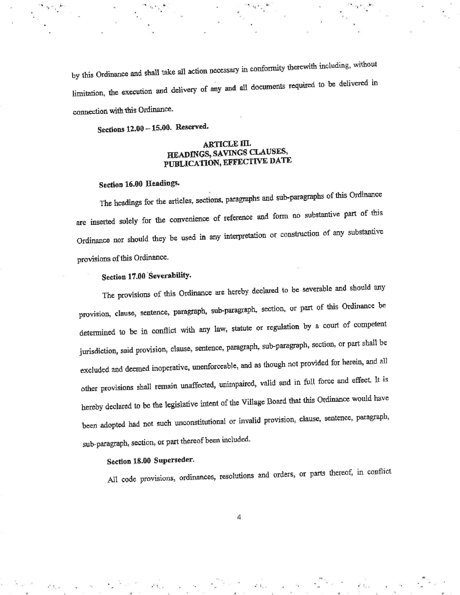by this Ordinance and shall take all action necessary in conformity therewith including, without limitation, the execution and delivery of any and all documents required to be delivered in connection with this Ordinance.

Sections 12.00 - 15.00. Reserved.

### **ARTICLE III.** HEADINGS, SAVINGS CLAUSES, PUBLICATION, EFFECTIVE DATE

### Section 16.00 Headings.

The headings for the articles, sections, paragraphs and sub-paragraphs of this Ordinance are inserted solely for the convenience of reference and form no substantive part of this Ordinance nor should they be used in any interpretation or construction of any substantive provisions of this Ordinance.

## Section 17.00 Severability.

The provisions of this Ordinance are hereby declared to be severable and should any provision, clause, sentence, paragraph, sub-paragraph, section, or part of this Ordinance be determined to be in conflict with any law, statute or regulation by a court of competent jurisdiction, said provision, clause, sentence, paragraph, sub-paragraph, section, or part shall be excluded and deemed inoperative, unenforceable, and as though not provided for herein, and all other provisions shall remain unaffected, unimpaired, valid and in full force and effect. It is hereby declared to be the legislative intent of the Village Board that this Ordinance would have been adopted had not such unconstitutional or invalid provision, clause, sentence, paragraph, sub-paragraph, section, or part thereof been included.

### Section 18.00 Superseder.

All code provisions, ordinances, resolutions and orders, or parts thereof, in conflict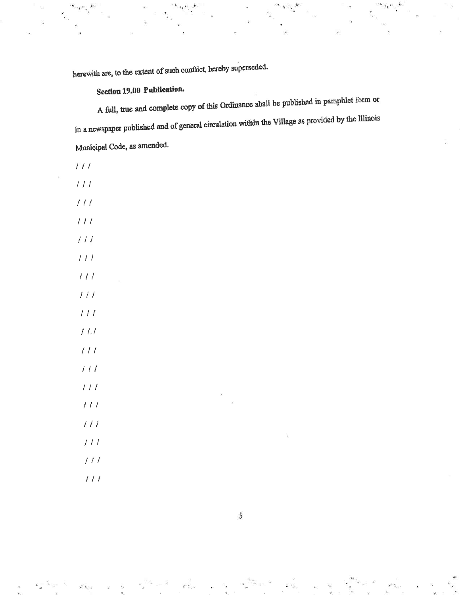herewith are, to the extent of such conflict, hereby superseded.

# Section 19.00 Publication.

A full, true and complete copy of this Ordinance shall be published in pamphlet form or in a newspaper published and of general circulation within the Village as provided by the Illinois Municipal Code, as amended.

 $111$ 

 $\prime$ 

 $\sqrt{ }$ 

 $\overline{I}$ 

I

 $\prime$ 

| $\mathcal{T} \mathcal{T}$ |    |  |  |
|---------------------------|----|--|--|
| $\frac{1}{l}$             |    |  |  |
| $\left  \right $          |    |  |  |
| $\left(1\right)$          |    |  |  |
| $\overline{111}$          |    |  |  |
| $\frac{1}{2}$             | ь, |  |  |
| 111                       |    |  |  |
| $\iota\iota\iota$         |    |  |  |
| $t\,t$                    |    |  |  |
| 111                       |    |  |  |
| $\frac{1}{2}$             |    |  |  |
| $\frac{1}{2}$             |    |  |  |
| $\frac{1}{2}$             |    |  |  |
| $\frac{1}{2}$             |    |  |  |
| $\frac{1}{2}$             |    |  |  |
| $\frac{1}{2}$             |    |  |  |
| $\frac{1}{2}$             |    |  |  |

 $\sqrt{5}$